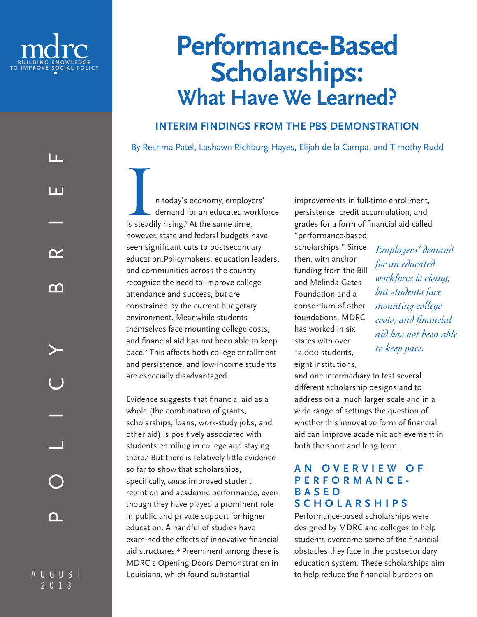

LL.

1 I I

 $\mathbf{\infty}$ 

ന

# **Performance-Based Scholarships: What Have We Learned?**

# **INTERIM FINDINGS FROM THE PBS DEMONSTRATION**

By Reshma Patel, Lashawn Richburg-Hayes, Elijah de la Campa, and Timothy Rudd

I n today's economy, employers'<br>
demand for an educated workfo<br>
is steadily rising.' At the same time, demand for an educated workforce however, state and federal budgets have seen significant cuts to postsecondary education.Policymakers, education leaders, and communities across the country recognize the need to improve college attendance and success, but are constrained by the current budgetary environment. Meanwhile students themselves face mounting college costs, and financial aid has not been able to keep pace.2 This affects both college enrollment and persistence, and low-income students are especially disadvantaged.

Evidence suggests that financial aid as a whole (the combination of grants, scholarships, loans, work-study jobs, and other aid) is positively associated with students enrolling in college and staying there.3 But there is relatively little evidence so far to show that scholarships, specifically, *cause* improved student retention and academic performance, even though they have played a prominent role in public and private support for higher education. A handful of studies have examined the effects of innovative financial aid structures.4 Preeminent among these is MDRC's Opening Doors Demonstration in Louisiana, which found substantial

improvements in full-time enrollment, persistence, credit accumulation, and grades for a form of financial aid called

"performance-based scholarships." Since then, with anchor funding from the Bill and Melinda Gates Foundation and a consortium of other foundations, MDRC has worked in six states with over 12,000 students, eight institutions,

and one intermediary to test several different scholarship designs and to address on a much larger scale and in a wide range of settings the question of whether this innovative form of financial aid can improve academic achievement in both the short and long term.

### **A N O V E R V I E W O F PERFORMANCE-B A S E D SCHOLARSHIPS**

Performance-based scholarships were designed by MDRC and colleges to help students overcome some of the financial obstacles they face in the postsecondary education system. These scholarships aim to help reduce the financial burdens on

AUGUST 2013

n.

POLICY BRIEF

ш.

*Employers' demand for an educated workforce is rising, but students face mounting college costs, and financial aid has not been able to keep pace.*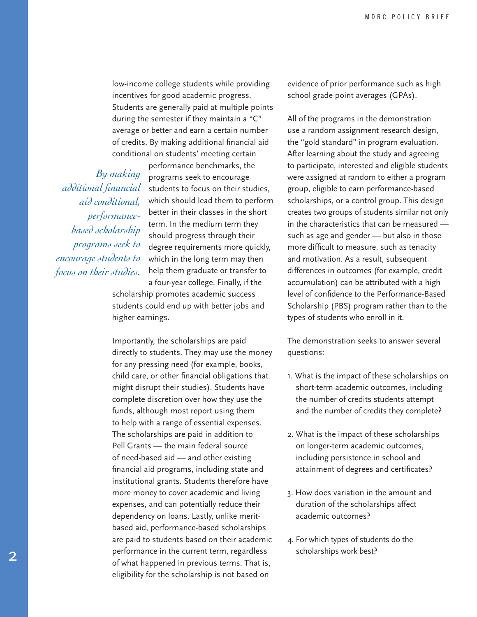low-income college students while providing incentives for good academic progress. Students are generally paid at multiple points during the semester if they maintain a "C" average or better and earn a certain number of credits. By making additional financial aid conditional on students' meeting certain

 *By making additional financial aid conditional, performancebased scholarship programs seek to encourage students to focus on their studies.*

performance benchmarks, the programs seek to encourage students to focus on their studies, which should lead them to perform better in their classes in the short term. In the medium term they should progress through their degree requirements more quickly, which in the long term may then help them graduate or transfer to a four-year college. Finally, if the

scholarship promotes academic success students could end up with better jobs and higher earnings.

Importantly, the scholarships are paid directly to students. They may use the money for any pressing need (for example, books, child care, or other financial obligations that might disrupt their studies). Students have complete discretion over how they use the funds, although most report using them to help with a range of essential expenses. The scholarships are paid in addition to Pell Grants — the main federal source of need-based aid — and other existing financial aid programs, including state and institutional grants. Students therefore have more money to cover academic and living expenses, and can potentially reduce their dependency on loans. Lastly, unlike meritbased aid, performance-based scholarships are paid to students based on their academic performance in the current term, regardless of what happened in previous terms. That is, eligibility for the scholarship is not based on

evidence of prior performance such as high school grade point averages (GPAs).

All of the programs in the demonstration use a random assignment research design, the "gold standard" in program evaluation. After learning about the study and agreeing to participate, interested and eligible students were assigned at random to either a program group, eligible to earn performance-based scholarships, or a control group. This design creates two groups of students similar not only in the characteristics that can be measured such as age and gender — but also in those more difficult to measure, such as tenacity and motivation. As a result, subsequent differences in outcomes (for example, credit accumulation) can be attributed with a high level of confidence to the Performance-Based Scholarship (PBS) program rather than to the types of students who enroll in it.

The demonstration seeks to answer several questions:

- 1. What is the impact of these scholarships on short-term academic outcomes, including the number of credits students attempt and the number of credits they complete?
- 2. What is the impact of these scholarships on longer-term academic outcomes, including persistence in school and attainment of degrees and certificates?
- 3. How does variation in the amount and duration of the scholarships affect academic outcomes?
- 4. For which types of students do the scholarships work best?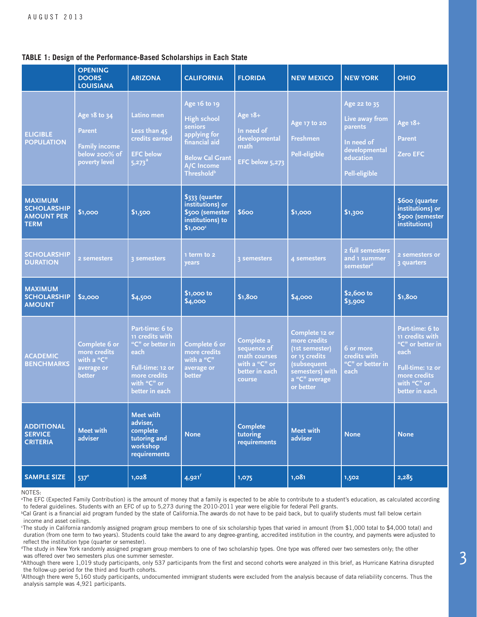#### **TABLE 1: Design of the Performance-Based Scholarships in Each State**

|                                                                          | <b>OPENING</b><br><b>DOORS</b><br><b>LOUISIANA</b>                               | <b>ARIZONA</b>                                                                                                                       | <b>CALIFORNIA</b>                                                                                                                                       | <b>FLORIDA</b>                                                                         | <b>NEW MEXICO</b>                                                                                                                | <b>NEW YORK</b>                                                                                               | <b>OHIO</b>                                                                                                                          |
|--------------------------------------------------------------------------|----------------------------------------------------------------------------------|--------------------------------------------------------------------------------------------------------------------------------------|---------------------------------------------------------------------------------------------------------------------------------------------------------|----------------------------------------------------------------------------------------|----------------------------------------------------------------------------------------------------------------------------------|---------------------------------------------------------------------------------------------------------------|--------------------------------------------------------------------------------------------------------------------------------------|
| <b>ELIGIBLE</b><br><b>POPULATION</b>                                     | Age 18 to 34<br>Parent<br><b>Family income</b><br>below 200% of<br>poverty level | Latino men<br>Less than 45<br>credits earned<br><b>EFC below</b><br>5,273 <sup>a</sup>                                               | Age 16 to 19<br><b>High school</b><br>seniors<br>applying for<br>financial aid<br><b>Below Cal Grant</b><br>A/C Income<br><b>Threshold</b> <sup>b</sup> | Age 18+<br>In need of<br>developmental<br>math<br>EFC below 5,273                      | Age 17 to 20<br>Freshmen<br>Pell-eligible                                                                                        | Age 22 to 35<br>Live away from<br>parents<br>In need of<br>developmental<br>education<br><b>Pell-eligible</b> | Age 18+<br>Parent<br><b>Zero EFC</b>                                                                                                 |
| <b>MAXIMUM</b><br><b>SCHOLARSHIP</b><br><b>AMOUNT PER</b><br><b>TERM</b> | \$1,000                                                                          | \$1,500                                                                                                                              | \$333 (quarter<br>institutions) or<br>\$500 (semester<br>institutions) to<br>\$1,000 <sup>c</sup>                                                       | \$600                                                                                  | \$1,000                                                                                                                          | \$1,300                                                                                                       | \$600 (quarter<br>institutions) or<br>\$900 (semester<br>institutions)                                                               |
| <b>SCHOLARSHIP</b><br><b>DURATION</b>                                    | 2 semesters                                                                      | 3 semesters                                                                                                                          | 1 term to 2<br>years                                                                                                                                    | 3 semesters                                                                            | 4 semesters                                                                                                                      | 2 full semesters<br>and 1 summer<br>semester <sup>d</sup>                                                     | 2 semesters or<br>3 quarters                                                                                                         |
| <b>MAXIMUM</b><br><b>SCHOLARSHIP</b><br><b>AMOUNT</b>                    | \$2,000                                                                          | \$4,500                                                                                                                              | $$1,000$ to<br>\$4,000                                                                                                                                  | \$1,800                                                                                | \$4,000                                                                                                                          | $$2,600$ to<br>\$3,900                                                                                        | \$1,800                                                                                                                              |
| <b>ACADEMIC</b><br><b>BENCHMARKS</b>                                     | Complete 6 or<br>more credits<br>with a "C"<br>average or<br>better              | Part-time: 6 to<br>11 credits with<br>"C" or better in<br>each.<br>Full-time: 12 or<br>more credits<br>with "C" or<br>better in each | Complete 6 or<br>more credits<br>with a "C"<br>average or<br>better                                                                                     | Complete a<br>sequence of<br>math courses<br>with a "C" or<br>better in each<br>course | Complete 12 or<br>more credits<br>(1st semester)<br>or 15 credits<br>subsequent<br>semesters) with<br>a "C" average<br>or better | 6 or more<br>credits with<br>"C" or better in<br>each                                                         | Part-time: 6 to<br>11 credits with<br>"C" or better in<br>each-<br>Full-time: 12 or<br>more credits<br>with "C" or<br>better in each |
| <b>ADDITIONAL</b><br><b>SERVICE</b><br><b>CRITERIA</b>                   | <b>Meet with</b><br>adviser                                                      | <b>Meet with</b><br>adviser,<br>complete<br>tutoring and<br>workshop<br>requirements                                                 | <b>None</b>                                                                                                                                             | <b>Complete</b><br>tutoring<br>requirements                                            | <b>Meet with</b><br>adviser                                                                                                      | <b>None</b>                                                                                                   | <b>None</b>                                                                                                                          |
| <b>SAMPLE SIZE</b>                                                       | 537 <sup>e</sup>                                                                 | 1,028                                                                                                                                | $4,921$ <sup>f</sup>                                                                                                                                    | 1,075                                                                                  | 1,081                                                                                                                            | 1,502                                                                                                         | 2,285                                                                                                                                |

NOTES:

<sup>a</sup>The EFC (Expected Family Contribution) is the amount of money that a family is expected to be able to contribute to a student's education, as calculated according to federal guidelines. Students with an EFC of up to 5,273 during the 2010-2011 year were eligible for federal Pell grants.

<sup>b</sup>Cal Grant is a financial aid program funded by the state of California.The awards do not have to be paid back, but to qualify students must fall below certain income and asset ceilings.

c The study in California randomly assigned program group members to one of six scholarship types that varied in amount (from \$1,000 total to \$4,000 total) and duration (from one term to two years). Students could take the award to any degree-granting, accredited institution in the country, and payments were adjusted to reflect the institution type (quarter or semester).

d The study in New York randomly assigned program group members to one of two scholarship types. One type was offered over two semesters only; the other was offered over two semesters plus one summer semester.

e Although there were 1,019 study participants, only 537 participants from the first and second cohorts were analyzed in this brief, as Hurricane Katrina disrupted the follow-up period for the third and fourth cohorts.

f Although there were 5,160 study participants, undocumented immigrant students were excluded from the analysis because of data reliability concerns. Thus the analysis sample was 4,921 participants.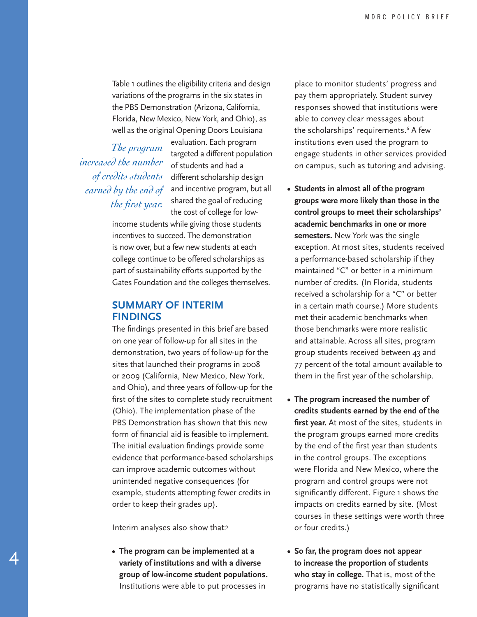Table 1 outlines the eligibility criteria and design variations of the programs in the six states in the PBS Demonstration (Arizona, California, Florida, New Mexico, New York, and Ohio), as well as the original Opening Doors Louisiana

 *The program increased the number of credits students earned by the end of the first year.*

evaluation. Each program targeted a different population of students and had a different scholarship design and incentive program, but all shared the goal of reducing the cost of college for low-

income students while giving those students incentives to succeed. The demonstration is now over, but a few new students at each college continue to be offered scholarships as part of sustainability efforts supported by the Gates Foundation and the colleges themselves.

### **SUMMARY OF INTERIM FINDINGS**

The findings presented in this brief are based on one year of follow-up for all sites in the demonstration, two years of follow-up for the sites that launched their programs in 2008 or 2009 (California, New Mexico, New York, and Ohio), and three years of follow-up for the first of the sites to complete study recruitment (Ohio). The implementation phase of the PBS Demonstration has shown that this new form of financial aid is feasible to implement. The initial evaluation findings provide some evidence that performance-based scholarships can improve academic outcomes without unintended negative consequences (for example, students attempting fewer credits in order to keep their grades up).

Interim analyses also show that:5

4

**• The program can be implemented at a variety of institutions and with a diverse group of low-income student populations.**  Institutions were able to put processes in

place to monitor students' progress and pay them appropriately. Student survey responses showed that institutions were able to convey clear messages about the scholarships' requirements.<sup>6</sup> A few institutions even used the program to engage students in other services provided on campus, such as tutoring and advising.

- **• Students in almost all of the program groups were more likely than those in the control groups to meet their scholarships' academic benchmarks in one or more semesters.** New York was the single exception. At most sites, students received a performance-based scholarship if they maintained "C" or better in a minimum number of credits. (In Florida, students received a scholarship for a "C" or better in a certain math course.) More students met their academic benchmarks when those benchmarks were more realistic and attainable. Across all sites, program group students received between 43 and 77 percent of the total amount available to them in the first year of the scholarship.
- **• The program increased the number of credits students earned by the end of the first year.** At most of the sites, students in the program groups earned more credits by the end of the first year than students in the control groups. The exceptions were Florida and New Mexico, where the program and control groups were not significantly different. Figure 1 shows the impacts on credits earned by site. (Most courses in these settings were worth three or four credits.)
- **• So far, the program does not appear to increase the proportion of students who stay in college.** That is, most of the programs have no statistically significant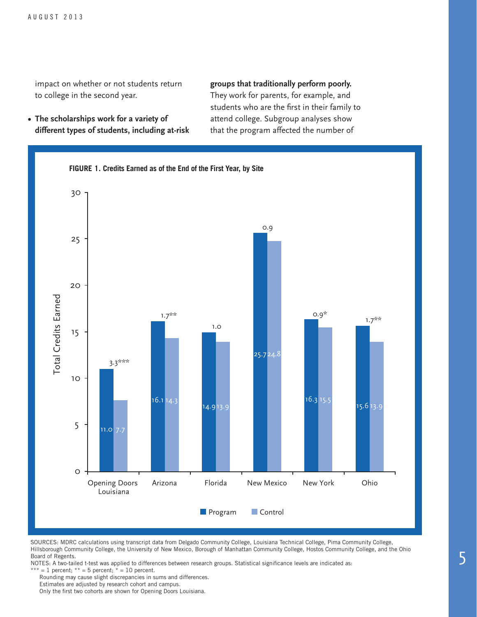impact on whether or not students return to college in the second year.

**• The scholarships work for a variety of different types of students, including at-risk** 

#### **groups that traditionally perform poorly.**

They work for parents, for example, and students who are the first in their family to attend college. Subgroup analyses show that the program affected the number of



SOURCES: MDRC calculations using transcript data from Delgado Community College, Louisiana Technical College, Pima Community College, Hillsborough Community College, the University of New Mexico, Borough of Manhattan Community College, Hostos Community College, and the Ohio Board of Regents.

NOTES: A two-tailed t-test was applied to differences between research groups. Statistical significance levels are indicated as: \*\*\* = 1 percent; \*\* = 5 percent; \* = 10 percent.

Rounding may cause slight discrepancies in sums and differences.

Estimates are adjusted by research cohort and campus.

Only the first two cohorts are shown for Opening Doors Louisiana.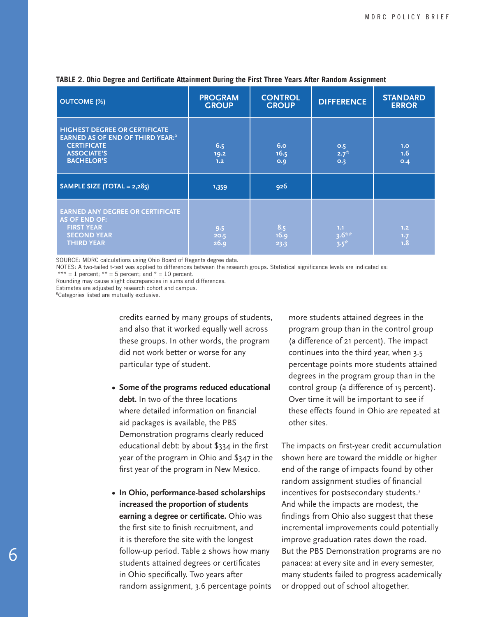| <b>OUTCOME (%)</b>                                                                                                                                    | <b>PROGRAM</b><br><b>GROUP</b> | <b>CONTROL</b><br><b>GROUP</b> | <b>DIFFERENCE</b>            | <b>STANDARD</b><br><b>ERROR</b> |
|-------------------------------------------------------------------------------------------------------------------------------------------------------|--------------------------------|--------------------------------|------------------------------|---------------------------------|
| <b>HIGHEST DEGREE OR CERTIFICATE</b><br>EARNED AS OF END OF THIRD YEAR: <sup>a</sup><br><b>CERTIFICATE</b><br><b>ASSOCIATE'S</b><br><b>BACHELOR'S</b> | 6.5<br>19.2<br>1.2             | 6.0<br>16.5<br>O.9             | O.5<br>$2.7^{*}$<br>O.3      | 1.0<br>1.6<br>O.4               |
| SAMPLE SIZE (TOTAL = $2,285$ )                                                                                                                        | 1,359                          | 926                            |                              |                                 |
| <b>EARNED ANY DEGREE OR CERTIFICATE</b><br><b>AS OF END OF:</b><br><b>FIRST YEAR</b><br><b>SECOND YEAR</b><br><b>THIRD YEAR</b>                       | 9.5<br>20.5<br>26.9            | 8.5<br>16.9<br>23.3            | 1.1<br>$3.6***$<br>$3.5^{*}$ | 1.2<br>1.7<br>1.8               |

#### **TABLE 2. Ohio Degree and Certificate Attainment During the First Three Years After Random Assignment**

SOURCE: MDRC calculations using Ohio Board of Regents degree data.

NOTES: A two-tailed t-test was applied to differences between the research groups. Statistical significance levels are indicated as:

\*\*\* = 1 percent; \*\* = 5 percent; and \* = 10 percent.

Rounding may cause slight discrepancies in sums and differences.

Estimates are adjusted by research cohort and campus.

<sup>a</sup>Categories listed are mutually exclusive.

credits earned by many groups of students, and also that it worked equally well across these groups. In other words, the program did not work better or worse for any particular type of student.

- **• Some of the programs reduced educational debt.** In two of the three locations where detailed information on financial aid packages is available, the PBS Demonstration programs clearly reduced educational debt: by about \$334 in the first year of the program in Ohio and \$347 in the first year of the program in New Mexico.
- **• In Ohio, performance-based scholarships increased the proportion of students earning a degree or certificate.** Ohio was the first site to finish recruitment, and it is therefore the site with the longest follow-up period. Table 2 shows how many students attained degrees or certificates in Ohio specifically. Two years after random assignment, 3.6 percentage points

more students attained degrees in the program group than in the control group (a difference of 21 percent). The impact continues into the third year, when 3.5 percentage points more students attained degrees in the program group than in the control group (a difference of 15 percent). Over time it will be important to see if these effects found in Ohio are repeated at other sites.

The impacts on first-year credit accumulation shown here are toward the middle or higher end of the range of impacts found by other random assignment studies of financial incentives for postsecondary students.7 And while the impacts are modest, the findings from Ohio also suggest that these incremental improvements could potentially improve graduation rates down the road. But the PBS Demonstration programs are no panacea: at every site and in every semester, many students failed to progress academically or dropped out of school altogether.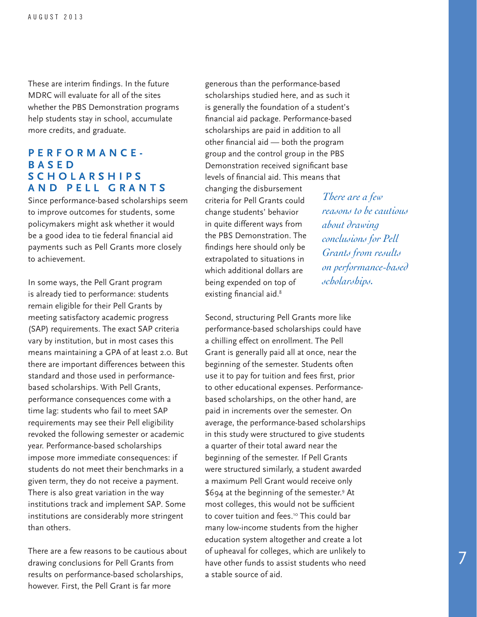These are interim findings. In the future MDRC will evaluate for all of the sites whether the PBS Demonstration programs help students stay in school, accumulate more credits, and graduate.

#### **PERFORMANCE-B A S E D S C H O L A R S H I P S AND PELL GRANTS**

Since performance-based scholarships seem to improve outcomes for students, some policymakers might ask whether it would be a good idea to tie federal financial aid payments such as Pell Grants more closely to achievement.

In some ways, the Pell Grant program is already tied to performance: students remain eligible for their Pell Grants by meeting satisfactory academic progress (SAP) requirements. The exact SAP criteria vary by institution, but in most cases this means maintaining a GPA of at least 2.0. But there are important differences between this standard and those used in performancebased scholarships. With Pell Grants, performance consequences come with a time lag: students who fail to meet SAP requirements may see their Pell eligibility revoked the following semester or academic year. Performance-based scholarships impose more immediate consequences: if students do not meet their benchmarks in a given term, they do not receive a payment. There is also great variation in the way institutions track and implement SAP. Some institutions are considerably more stringent than others.

There are a few reasons to be cautious about drawing conclusions for Pell Grants from results on performance-based scholarships, however. First, the Pell Grant is far more

generous than the performance-based scholarships studied here, and as such it is generally the foundation of a student's financial aid package. Performance-based scholarships are paid in addition to all other financial aid — both the program group and the control group in the PBS Demonstration received significant base levels of financial aid. This means that changing the disbursement criteria for Pell Grants could change students' behavior in quite different ways from the PBS Demonstration. The findings here should only be extrapolated to situations in which additional dollars are being expended on top of existing financial aid.<sup>8</sup>

*There are a few reasons to be cautious about drawing conclusions for Pell Grants from results on performance-based scholarships.*

Second, structuring Pell Grants more like performance-based scholarships could have a chilling effect on enrollment. The Pell Grant is generally paid all at once, near the beginning of the semester. Students often use it to pay for tuition and fees first, prior to other educational expenses. Performancebased scholarships, on the other hand, are paid in increments over the semester. On average, the performance-based scholarships in this study were structured to give students a quarter of their total award near the beginning of the semester. If Pell Grants were structured similarly, a student awarded a maximum Pell Grant would receive only \$694 at the beginning of the semester.9 At most colleges, this would not be sufficient to cover tuition and fees.<sup>10</sup> This could bar many low-income students from the higher education system altogether and create a lot of upheaval for colleges, which are unlikely to have other funds to assist students who need a stable source of aid.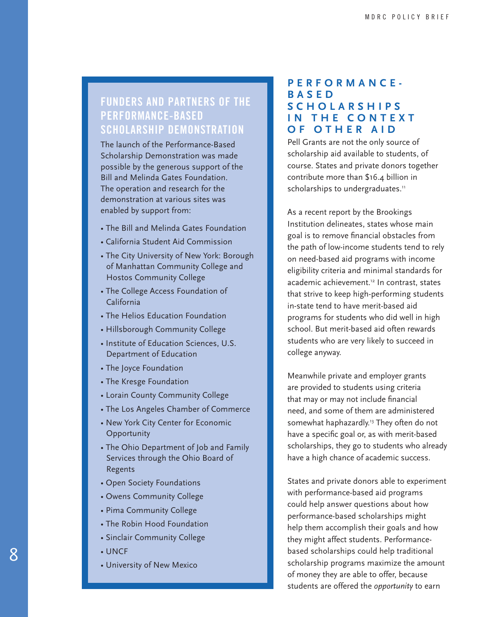# **FUNDERS AND PARTNERS OF THE PERFORMANCE-BASED SCHOLARSHIP DEMONSTRATION**

The launch of the Performance-Based Scholarship Demonstration was made possible by the generous support of the Bill and Melinda Gates Foundation. The operation and research for the demonstration at various sites was enabled by support from:

- The Bill and Melinda Gates Foundation
- California Student Aid Commission
- The City University of New York: Borough of Manhattan Community College and Hostos Community College
- The College Access Foundation of California
- The Helios Education Foundation
- Hillsborough Community College
- Institute of Education Sciences, U.S. Department of Education
- The Joyce Foundation
- The Kresge Foundation
- Lorain County Community College
- The Los Angeles Chamber of Commerce
- New York City Center for Economic **Opportunity**
- The Ohio Department of Job and Family Services through the Ohio Board of Regents
- Open Society Foundations
- Owens Community College
- Pima Community College
- The Robin Hood Foundation
- Sinclair Community College
- UNCF
- University of New Mexico

# **PERFORMANCE-B A S E D S C H O L A R S H I P S IN THE CONTEXT OF OTHER AID**

Pell Grants are not the only source of scholarship aid available to students, of course. States and private donors together contribute more than \$16.4 billion in scholarships to undergraduates.<sup>11</sup>

As a recent report by the Brookings Institution delineates, states whose main goal is to remove financial obstacles from the path of low-income students tend to rely on need-based aid programs with income eligibility criteria and minimal standards for academic achievement.<sup>12</sup> In contrast, states that strive to keep high-performing students in-state tend to have merit-based aid programs for students who did well in high school. But merit-based aid often rewards students who are very likely to succeed in college anyway.

Meanwhile private and employer grants are provided to students using criteria that may or may not include financial need, and some of them are administered somewhat haphazardly.<sup>13</sup> They often do not have a specific goal or, as with merit-based scholarships, they go to students who already have a high chance of academic success.

States and private donors able to experiment with performance-based aid programs could help answer questions about how performance-based scholarships might help them accomplish their goals and how they might affect students. Performancebased scholarships could help traditional scholarship programs maximize the amount of money they are able to offer, because students are offered the *opportunity* to earn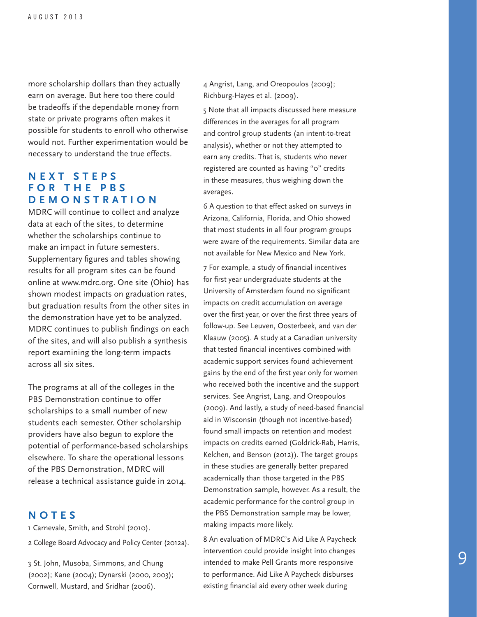more scholarship dollars than they actually earn on average. But here too there could be tradeoffs if the dependable money from state or private programs often makes it possible for students to enroll who otherwise would not. Further experimentation would be necessary to understand the true effects.

## **N E X T S T E P S F O R T H E P B S DEMONSTRATION**

MDRC will continue to collect and analyze data at each of the sites, to determine whether the scholarships continue to make an impact in future semesters. Supplementary figures and tables showing results for all program sites can be found online at www.mdrc.org. One site (Ohio) has shown modest impacts on graduation rates, but graduation results from the other sites in the demonstration have yet to be analyzed. MDRC continues to publish findings on each of the sites, and will also publish a synthesis report examining the long-term impacts across all six sites.

The programs at all of the colleges in the PBS Demonstration continue to offer scholarships to a small number of new students each semester. Other scholarship providers have also begun to explore the potential of performance-based scholarships elsewhere. To share the operational lessons of the PBS Demonstration, MDRC will release a technical assistance guide in 2014.

# **NOTES**

1 Carnevale, Smith, and Strohl (2010). 2 College Board Advocacy and Policy Center (2012a).

3 St. John, Musoba, Simmons, and Chung (2002); Kane (2004); Dynarski (2000, 2003); Cornwell, Mustard, and Sridhar (2006).

4 Angrist, Lang, and Oreopoulos (2009); Richburg-Hayes et al. (2009).

5 Note that all impacts discussed here measure differences in the averages for all program and control group students (an intent-to-treat analysis), whether or not they attempted to earn any credits. That is, students who never registered are counted as having "0" credits in these measures, thus weighing down the averages.

6 A question to that effect asked on surveys in Arizona, California, Florida, and Ohio showed that most students in all four program groups were aware of the requirements. Similar data are not available for New Mexico and New York.

7 For example, a study of financial incentives for first year undergraduate students at the University of Amsterdam found no significant impacts on credit accumulation on average over the first year, or over the first three years of follow-up. See Leuven, Oosterbeek, and van der Klaauw (2005). A study at a Canadian university that tested financial incentives combined with academic support services found achievement gains by the end of the first year only for women who received both the incentive and the support services. See Angrist, Lang, and Oreopoulos (2009). And lastly, a study of need-based financial aid in Wisconsin (though not incentive-based) found small impacts on retention and modest impacts on credits earned (Goldrick-Rab, Harris, Kelchen, and Benson (2012)). The target groups in these studies are generally better prepared academically than those targeted in the PBS Demonstration sample, however. As a result, the academic performance for the control group in the PBS Demonstration sample may be lower, making impacts more likely.

8 An evaluation of MDRC's Aid Like A Paycheck intervention could provide insight into changes intended to make Pell Grants more responsive to performance. Aid Like A Paycheck disburses existing financial aid every other week during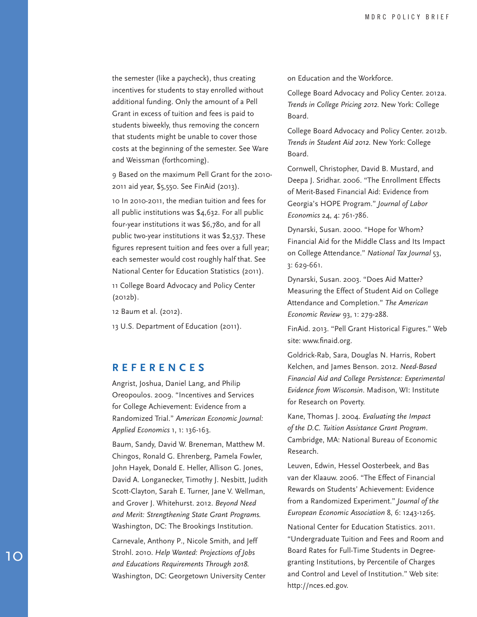the semester (like a paycheck), thus creating incentives for students to stay enrolled without additional funding. Only the amount of a Pell Grant in excess of tuition and fees is paid to students biweekly, thus removing the concern that students might be unable to cover those costs at the beginning of the semester. See Ware and Weissman (forthcoming).

9 Based on the maximum Pell Grant for the 2010- 2011 aid year, \$5,550. See FinAid (2013).

10 In 2010-2011, the median tuition and fees for all public institutions was \$4,632. For all public four-year institutions it was \$6,780, and for all public two-year institutions it was \$2,537. These figures represent tuition and fees over a full year; each semester would cost roughly half that. See National Center for Education Statistics (2011).

11 College Board Advocacy and Policy Center (2012b).

12 Baum et al. (2012).

13 U.S. Department of Education (2011).

#### **REFERENCES**

Angrist, Joshua, Daniel Lang, and Philip Oreopoulos. 2009. "Incentives and Services for College Achievement: Evidence from a Randomized Trial." *American Economic Journal: Applied Economics* 1, 1: 136-163.

Baum, Sandy, David W. Breneman, Matthew M. Chingos, Ronald G. Ehrenberg, Pamela Fowler, John Hayek, Donald E. Heller, Allison G. Jones, David A. Longanecker, Timothy J. Nesbitt, Judith Scott-Clayton, Sarah E. Turner, Jane V. Wellman, and Grover J. Whitehurst. 2012. *Beyond Need and Merit: Strengthening State Grant Programs.* Washington, DC: The Brookings Institution.

Carnevale, Anthony P., Nicole Smith, and Jeff Strohl. 2010. *Help Wanted: Projections of Jobs and Educations Requirements Through 2018.*  Washington, DC: Georgetown University Center on Education and the Workforce.

College Board Advocacy and Policy Center. 2012a. *Trends in College Pricing 2012*. New York: College Board.

College Board Advocacy and Policy Center. 2012b. *Trends in Student Aid 2012*. New York: College Board.

Cornwell, Christopher, David B. Mustard, and Deepa J. Sridhar. 2006. "The Enrollment Effects of Merit-Based Financial Aid: Evidence from Georgia's HOPE Program." *Journal of Labor Economics* 24, 4: 761-786.

Dynarski, Susan. 2000. "Hope for Whom? Financial Aid for the Middle Class and Its Impact on College Attendance." *National Tax Journal* 53, 3: 629-661.

Dynarski, Susan. 2003. "Does Aid Matter? Measuring the Effect of Student Aid on College Attendance and Completion." *The American Economic Review* 93, 1: 279-288.

FinAid. 2013. "Pell Grant Historical Figures." Web site: www.finaid.org.

Goldrick-Rab, Sara, Douglas N. Harris, Robert Kelchen, and James Benson. 2012. *Need-Based Financial Aid and College Persistence: Experimental Evidence from Wisconsin*. Madison, WI: Institute for Research on Poverty.

Kane, Thomas J. 2004. *Evaluating the Impact of the D.C. Tuition Assistance Grant Program*. Cambridge, MA: National Bureau of Economic Research.

Leuven, Edwin, Hessel Oosterbeek, and Bas van der Klaauw. 2006. "The Effect of Financial Rewards on Students' Achievement: Evidence from a Randomized Experiment." *Journal of the European Economic Association* 8, 6: 1243-1265.

National Center for Education Statistics. 2011. "Undergraduate Tuition and Fees and Room and Board Rates for Full-Time Students in Degreegranting Institutions, by Percentile of Charges and Control and Level of Institution." Web site: http://nces.ed.gov.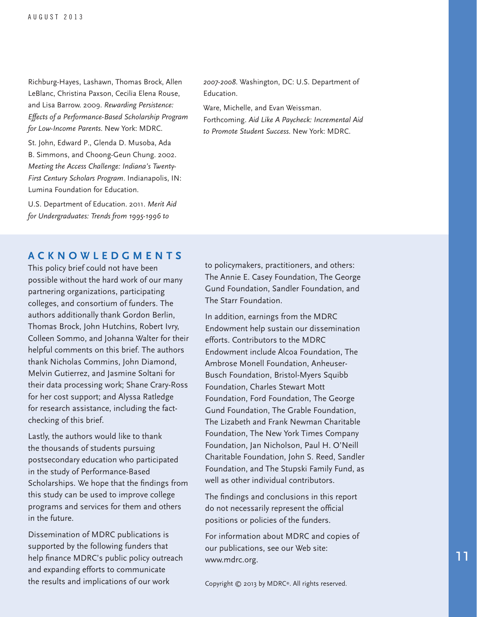Richburg-Hayes, Lashawn, Thomas Brock, Allen LeBlanc, Christina Paxson, Cecilia Elena Rouse, and Lisa Barrow. 2009. *Rewarding Persistence: Effects of a Performance-Based Scholarship Program for Low-Income Parents*. New York: MDRC.

St. John, Edward P., Glenda D. Musoba, Ada B. Simmons, and Choong-Geun Chung. 2002. *Meeting the Access Challenge: Indiana's Twenty-First Century Scholars Program*. Indianapolis, IN: Lumina Foundation for Education.

U.S. Department of Education. 2011. *Merit Aid for Undergraduates: Trends from 1995-1996 to* 

*2007-2008*. Washington, DC: U.S. Department of Education.

Ware, Michelle, and Evan Weissman. Forthcoming. *Aid Like A Paycheck: Incremental Aid to Promote Student Success*. New York: MDRC.

#### **ACKNOWLEDGMENTS**

This policy brief could not have been possible without the hard work of our many partnering organizations, participating colleges, and consortium of funders. The authors additionally thank Gordon Berlin, Thomas Brock, John Hutchins, Robert Ivry, Colleen Sommo, and Johanna Walter for their helpful comments on this brief. The authors thank Nicholas Commins, John Diamond, Melvin Gutierrez, and Jasmine Soltani for their data processing work; Shane Crary-Ross for her cost support; and Alyssa Ratledge for research assistance, including the factchecking of this brief.

Lastly, the authors would like to thank the thousands of students pursuing postsecondary education who participated in the study of Performance-Based Scholarships. We hope that the findings from this study can be used to improve college programs and services for them and others in the future.

Dissemination of MDRC publications is supported by the following funders that help finance MDRC's public policy outreach and expanding efforts to communicate the results and implications of our work

to policymakers, practitioners, and others: The Annie E. Casey Foundation, The George Gund Foundation, Sandler Foundation, and The Starr Foundation.

In addition, earnings from the MDRC Endowment help sustain our dissemination efforts. Contributors to the MDRC Endowment include Alcoa Foundation, The Ambrose Monell Foundation, Anheuser-Busch Foundation, Bristol-Myers Squibb Foundation, Charles Stewart Mott Foundation, Ford Foundation, The George Gund Foundation, The Grable Foundation, The Lizabeth and Frank Newman Charitable Foundation, The New York Times Company Foundation, Jan Nicholson, Paul H. O'Neill Charitable Foundation, John S. Reed, Sandler Foundation, and The Stupski Family Fund, as well as other individual contributors.

The findings and conclusions in this report do not necessarily represent the official positions or policies of the funders.

For information about MDRC and copies of our publications, see our Web site: www.mdrc.org.

Copyright © 2013 by MDRC®. All rights reserved.